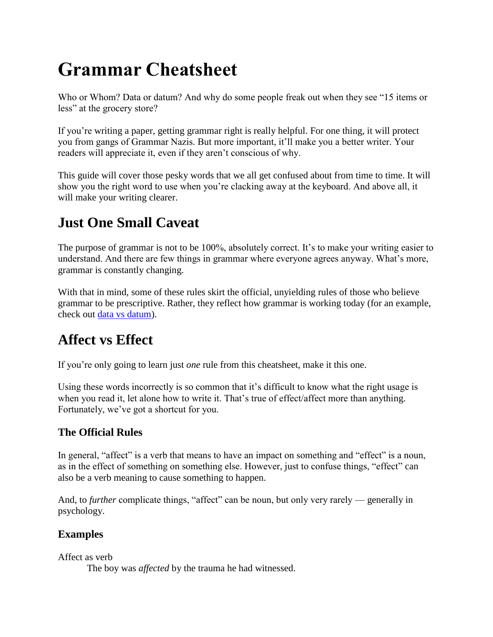# **Grammar Cheatsheet**

Who or Whom? Data or datum? And why do some people freak out when they see "15 items or less" at the grocery store?

If you're writing a paper, getting grammar right is really helpful. For one thing, it will protect you from gangs of Grammar Nazis. But more important, it'll make you a better writer. Your readers will appreciate it, even if they aren't conscious of why.

This guide will cover those pesky words that we all get confused about from time to time. It will show you the right word to use when you're clacking away at the keyboard. And above all, it will make your writing clearer.

# **Just One Small Caveat**

The purpose of grammar is not to be 100%, absolutely correct. It's to make your writing easier to understand. And there are few things in grammar where everyone agrees anyway. What's more, grammar is constantly changing.

With that in mind, some of these rules skirt the official, unyielding rules of those who believe grammar to be prescriptive. Rather, they reflect how grammar is working today (for an example, check out [data vs datum\)](http://www.artofblog.com/resources/grammar-cheatsheet/#data).

# **Affect vs Effect**

If you're only going to learn just *one* rule from this cheatsheet, make it this one.

Using these words incorrectly is so common that it's difficult to know what the right usage is when you read it, let alone how to write it. That's true of effect/affect more than anything. Fortunately, we've got a shortcut for you.

#### **The Official Rules**

In general, "affect" is a verb that means to have an impact on something and "effect" is a noun, as in the effect of something on something else. However, just to confuse things, "effect" can also be a verb meaning to cause something to happen.

And, to *further* complicate things, "affect" can be noun, but only very rarely — generally in psychology.

#### **Examples**

Affect as verb

The boy was *affected* by the trauma he had witnessed.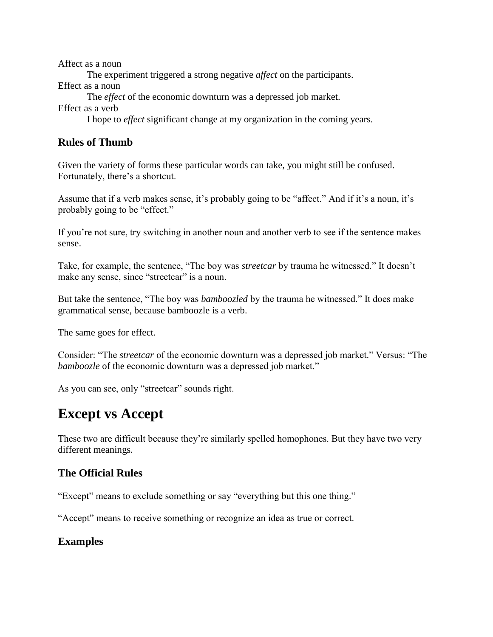Affect as a noun The experiment triggered a strong negative *affect* on the participants. Effect as a noun The *effect* of the economic downturn was a depressed job market. Effect as a verb I hope to *effect* significant change at my organization in the coming years.

#### **Rules of Thumb**

Given the variety of forms these particular words can take, you might still be confused. Fortunately, there's a shortcut.

Assume that if a verb makes sense, it's probably going to be "affect." And if it's a noun, it's probably going to be "effect."

If you're not sure, try switching in another noun and another verb to see if the sentence makes sense.

Take, for example, the sentence, "The boy was *streetcar* by trauma he witnessed." It doesn't make any sense, since "streetcar" is a noun.

But take the sentence, "The boy was *bamboozled* by the trauma he witnessed." It does make grammatical sense, because bamboozle is a verb.

The same goes for effect.

Consider: "The *streetcar* of the economic downturn was a depressed job market." Versus: "The *bamboozle* of the economic downturn was a depressed job market."

As you can see, only "streetcar" sounds right.

### **Except vs Accept**

These two are difficult because they're similarly spelled homophones. But they have two very different meanings.

#### **The Official Rules**

"Except" means to exclude something or say "everything but this one thing."

"Accept" means to receive something or recognize an idea as true or correct.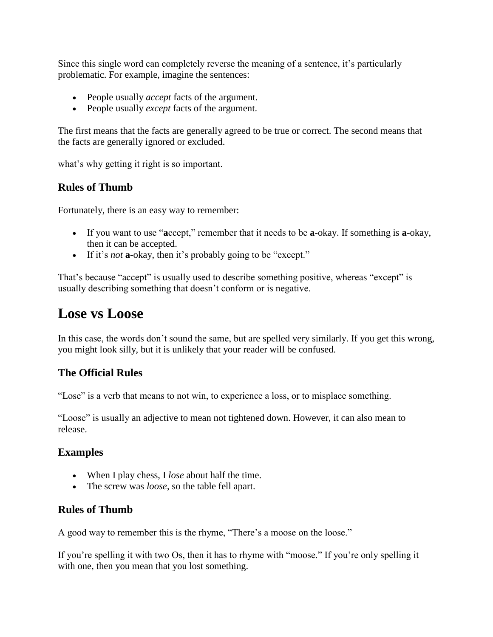Since this single word can completely reverse the meaning of a sentence, it's particularly problematic. For example, imagine the sentences:

- People usually *accept* facts of the argument.
- People usually *except* facts of the argument.

The first means that the facts are generally agreed to be true or correct. The second means that the facts are generally ignored or excluded.

what's why getting it right is so important.

#### **Rules of Thumb**

Fortunately, there is an easy way to remember:

- If you want to use "**a**ccept," remember that it needs to be **a**-okay. If something is **a**-okay, then it can be accepted.
- If it's *not* **a**-okay, then it's probably going to be "except."

That's because "accept" is usually used to describe something positive, whereas "except" is usually describing something that doesn't conform or is negative.

### **Lose vs Loose**

In this case, the words don't sound the same, but are spelled very similarly. If you get this wrong, you might look silly, but it is unlikely that your reader will be confused.

#### **The Official Rules**

"Lose" is a verb that means to not win, to experience a loss, or to misplace something.

"Loose" is usually an adjective to mean not tightened down. However, it can also mean to release.

#### **Examples**

- When I play chess, I *lose* about half the time.
- The screw was *loose*, so the table fell apart.

#### **Rules of Thumb**

A good way to remember this is the rhyme, "There's a moose on the loose."

If you're spelling it with two Os, then it has to rhyme with "moose." If you're only spelling it with one, then you mean that you lost something.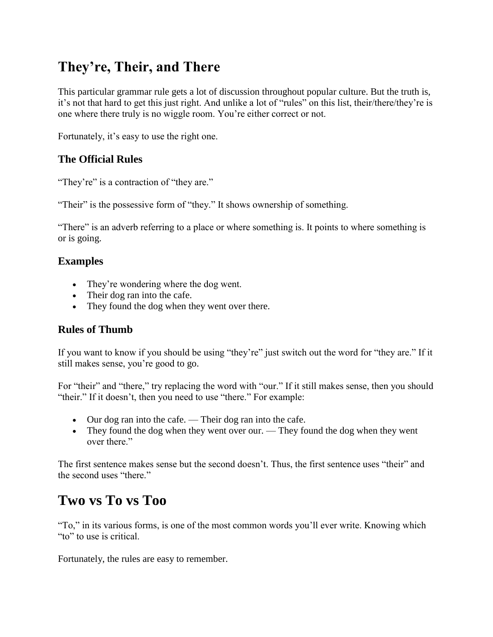# **They're, Their, and There**

This particular grammar rule gets a lot of discussion throughout popular culture. But the truth is, it's not that hard to get this just right. And unlike a lot of "rules" on this list, their/there/they're is one where there truly is no wiggle room. You're either correct or not.

Fortunately, it's easy to use the right one.

#### **The Official Rules**

"They're" is a contraction of "they are."

"Their" is the possessive form of "they." It shows ownership of something.

"There" is an adverb referring to a place or where something is. It points to where something is or is going.

#### **Examples**

- They're wondering where the dog went.
- Their dog ran into the cafe.
- They found the dog when they went over there.

#### **Rules of Thumb**

If you want to know if you should be using "they're" just switch out the word for "they are." If it still makes sense, you're good to go.

For "their" and "there," try replacing the word with "our." If it still makes sense, then you should "their." If it doesn't, then you need to use "there." For example:

- Our dog ran into the cafe. Their dog ran into the cafe.
- They found the dog when they went over our. They found the dog when they went over there."

The first sentence makes sense but the second doesn't. Thus, the first sentence uses "their" and the second uses "there."

### **Two vs To vs Too**

"To," in its various forms, is one of the most common words you'll ever write. Knowing which "to" to use is critical.

Fortunately, the rules are easy to remember.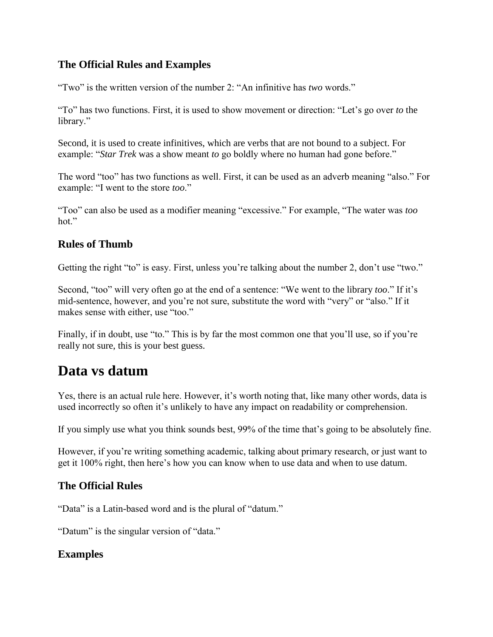#### **The Official Rules and Examples**

"Two" is the written version of the number 2: "An infinitive has *two* words."

"To" has two functions. First, it is used to show movement or direction: "Let's go over *to* the library."

Second, it is used to create infinitives, which are verbs that are not bound to a subject. For example: "*Star Trek* was a show meant *to* go boldly where no human had gone before."

The word "too" has two functions as well. First, it can be used as an adverb meaning "also." For example: "I went to the store *too*."

"Too" can also be used as a modifier meaning "excessive." For example, "The water was *too* hot."

#### **Rules of Thumb**

Getting the right "to" is easy. First, unless you're talking about the number 2, don't use "two."

Second, "too" will very often go at the end of a sentence: "We went to the library *too*." If it's mid-sentence, however, and you're not sure, substitute the word with "very" or "also." If it makes sense with either, use "too."

Finally, if in doubt, use "to." This is by far the most common one that you'll use, so if you're really not sure, this is your best guess.

### **Data vs datum**

Yes, there is an actual rule here. However, it's worth noting that, like many other words, data is used incorrectly so often it's unlikely to have any impact on readability or comprehension.

If you simply use what you think sounds best, 99% of the time that's going to be absolutely fine.

However, if you're writing something academic, talking about primary research, or just want to get it 100% right, then here's how you can know when to use data and when to use datum.

#### **The Official Rules**

"Data" is a Latin-based word and is the plural of "datum."

"Datum" is the singular version of "data."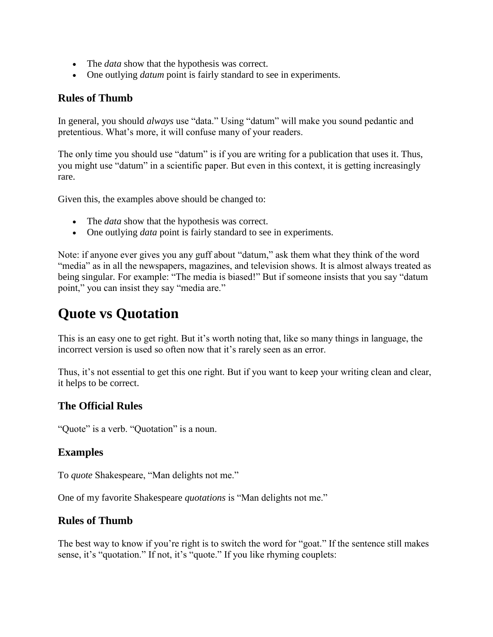- The *data* show that the hypothesis was correct.
- One outlying *datum* point is fairly standard to see in experiments.

#### **Rules of Thumb**

In general, you should *always* use "data." Using "datum" will make you sound pedantic and pretentious. What's more, it will confuse many of your readers.

The only time you should use "datum" is if you are writing for a publication that uses it. Thus, you might use "datum" in a scientific paper. But even in this context, it is getting increasingly rare.

Given this, the examples above should be changed to:

- The *data* show that the hypothesis was correct.
- One outlying *data* point is fairly standard to see in experiments.

Note: if anyone ever gives you any guff about "datum," ask them what they think of the word "media" as in all the newspapers, magazines, and television shows. It is almost always treated as being singular. For example: "The media is biased!" But if someone insists that you say "datum point," you can insist they say "media are."

### **Quote vs Quotation**

This is an easy one to get right. But it's worth noting that, like so many things in language, the incorrect version is used so often now that it's rarely seen as an error.

Thus, it's not essential to get this one right. But if you want to keep your writing clean and clear, it helps to be correct.

#### **The Official Rules**

"Quote" is a verb. "Quotation" is a noun.

#### **Examples**

To *quote* Shakespeare, "Man delights not me."

One of my favorite Shakespeare *quotations* is "Man delights not me."

#### **Rules of Thumb**

The best way to know if you're right is to switch the word for "goat." If the sentence still makes sense, it's "quotation." If not, it's "quote." If you like rhyming couplets: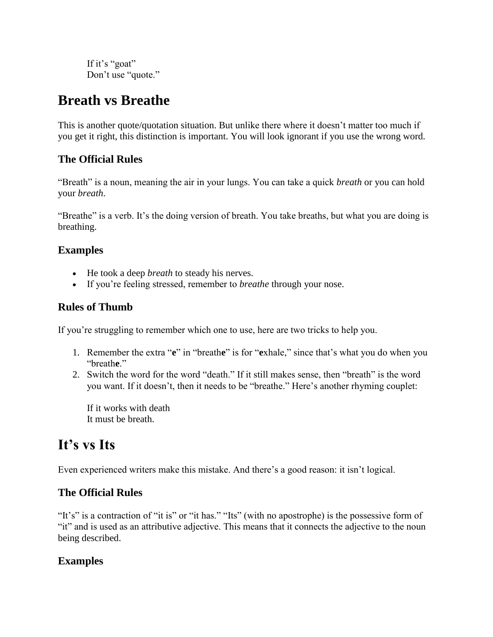If it's "goat" Don't use "quote."

### **Breath vs Breathe**

This is another quote/quotation situation. But unlike there where it doesn't matter too much if you get it right, this distinction is important. You will look ignorant if you use the wrong word.

#### **The Official Rules**

"Breath" is a noun, meaning the air in your lungs. You can take a quick *breath* or you can hold your *breath*.

"Breathe" is a verb. It's the doing version of breath. You take breaths, but what you are doing is breathing.

#### **Examples**

- He took a deep *breath* to steady his nerves.
- If you're feeling stressed, remember to *breathe* through your nose.

#### **Rules of Thumb**

If you're struggling to remember which one to use, here are two tricks to help you.

- 1. Remember the extra "**e**" in "breath**e**" is for "**e**xhale," since that's what you do when you "breath**e**."
- 2. Switch the word for the word "death." If it still makes sense, then "breath" is the word you want. If it doesn't, then it needs to be "breathe." Here's another rhyming couplet:

If it works with death It must be breath.

# **It's vs Its**

Even experienced writers make this mistake. And there's a good reason: it isn't logical.

#### **The Official Rules**

"It's" is a contraction of "it is" or "it has." "Its" (with no apostrophe) is the possessive form of "it" and is used as an attributive adjective. This means that it connects the adjective to the noun being described.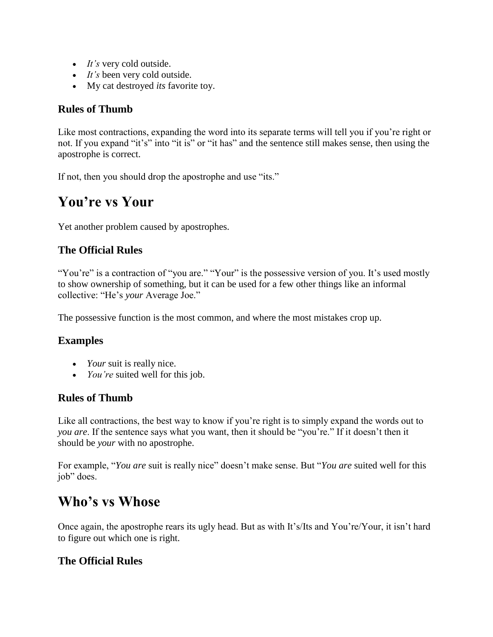- *It's* very cold outside.
- *It's* been very cold outside.
- My cat destroyed *its* favorite toy.

#### **Rules of Thumb**

Like most contractions, expanding the word into its separate terms will tell you if you're right or not. If you expand "it's" into "it is" or "it has" and the sentence still makes sense, then using the apostrophe is correct.

If not, then you should drop the apostrophe and use "its."

### **You're vs Your**

Yet another problem caused by apostrophes.

#### **The Official Rules**

"You're" is a contraction of "you are." "Your" is the possessive version of you. It's used mostly to show ownership of something, but it can be used for a few other things like an informal collective: "He's *your* Average Joe."

The possessive function is the most common, and where the most mistakes crop up.

#### **Examples**

- *Your* suit is really nice.
- *You're* suited well for this job.

#### **Rules of Thumb**

Like all contractions, the best way to know if you're right is to simply expand the words out to *you are*. If the sentence says what you want, then it should be "you're." If it doesn't then it should be *your* with no apostrophe.

For example, "*You are* suit is really nice" doesn't make sense. But "*You are* suited well for this job" does.

### **Who's vs Whose**

Once again, the apostrophe rears its ugly head. But as with It's/Its and You're/Your, it isn't hard to figure out which one is right.

#### **The Official Rules**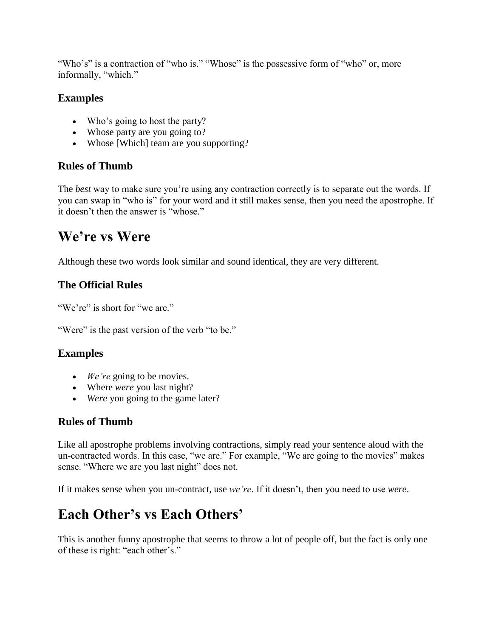"Who's" is a contraction of "who is." "Whose" is the possessive form of "who" or, more informally, "which."

#### **Examples**

- Who's going to host the party?
- Whose party are you going to?
- Whose [Which] team are you supporting?

#### **Rules of Thumb**

The *best* way to make sure you're using any contraction correctly is to separate out the words. If you can swap in "who is" for your word and it still makes sense, then you need the apostrophe. If it doesn't then the answer is "whose."

### **We're vs Were**

Although these two words look similar and sound identical, they are very different.

#### **The Official Rules**

"We're" is short for "we are."

"Were" is the past version of the verb "to be."

#### **Examples**

- *We're* going to be movies.
- Where *were* you last night?
- *Were* you going to the game later?

#### **Rules of Thumb**

Like all apostrophe problems involving contractions, simply read your sentence aloud with the un-contracted words. In this case, "we are." For example, "We are going to the movies" makes sense. "Where we are you last night" does not.

If it makes sense when you un-contract, use *we're*. If it doesn't, then you need to use *were*.

# **Each Other's vs Each Others'**

This is another funny apostrophe that seems to throw a lot of people off, but the fact is only one of these is right: "each other's."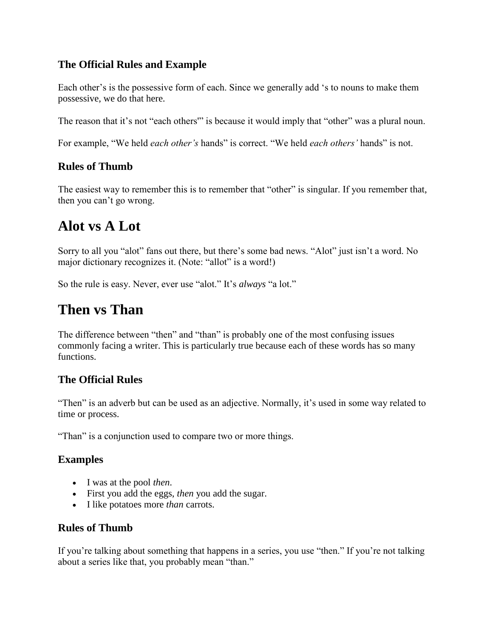#### **The Official Rules and Example**

Each other's is the possessive form of each. Since we generally add 's to nouns to make them possessive, we do that here.

The reason that it's not "each others" is because it would imply that "other" was a plural noun.

For example, "We held *each other's* hands" is correct. "We held *each others'* hands" is not.

#### **Rules of Thumb**

The easiest way to remember this is to remember that "other" is singular. If you remember that, then you can't go wrong.

## **Alot vs A Lot**

Sorry to all you "alot" fans out there, but there's some bad news. "Alot" just isn't a word. No major dictionary recognizes it. (Note: "allot" is a word!)

So the rule is easy. Never, ever use "alot." It's *always* "a lot."

## **Then vs Than**

The difference between "then" and "than" is probably one of the most confusing issues commonly facing a writer. This is particularly true because each of these words has so many functions.

#### **The Official Rules**

"Then" is an adverb but can be used as an adjective. Normally, it's used in some way related to time or process.

"Than" is a conjunction used to compare two or more things.

#### **Examples**

- I was at the pool *then*.
- First you add the eggs, *then* you add the sugar.
- I like potatoes more *than* carrots.

#### **Rules of Thumb**

If you're talking about something that happens in a series, you use "then." If you're not talking about a series like that, you probably mean "than."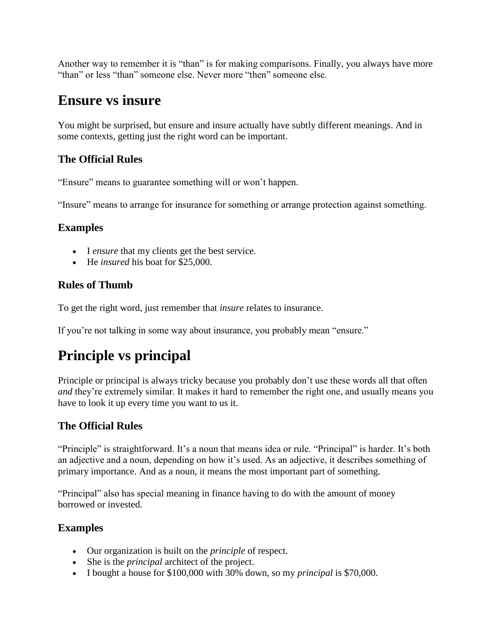Another way to remember it is "than" is for making comparisons. Finally, you always have more "than" or less "than" someone else. Never more "then" someone else.

### **Ensure vs insure**

You might be surprised, but ensure and insure actually have subtly different meanings. And in some contexts, getting just the right word can be important.

#### **The Official Rules**

"Ensure" means to guarantee something will or won't happen.

"Insure" means to arrange for insurance for something or arrange protection against something.

#### **Examples**

- I *ensure* that my clients get the best service.
- He *insured* his boat for \$25,000.

#### **Rules of Thumb**

To get the right word, just remember that *insure* relates to insurance.

If you're not talking in some way about insurance, you probably mean "ensure."

# **Principle vs principal**

Principle or principal is always tricky because you probably don't use these words all that often *and* they're extremely similar. It makes it hard to remember the right one, and usually means you have to look it up every time you want to us it.

#### **The Official Rules**

"Principle" is straightforward. It's a noun that means idea or rule. "Principal" is harder. It's both an adjective and a noun, depending on how it's used. As an adjective, it describes something of primary importance. And as a noun, it means the most important part of something.

"Principal" also has special meaning in finance having to do with the amount of money borrowed or invested.

- Our organization is built on the *principle* of respect.
- She is the *principal* architect of the project.
- I bought a house for \$100,000 with 30% down, so my *principal* is \$70,000.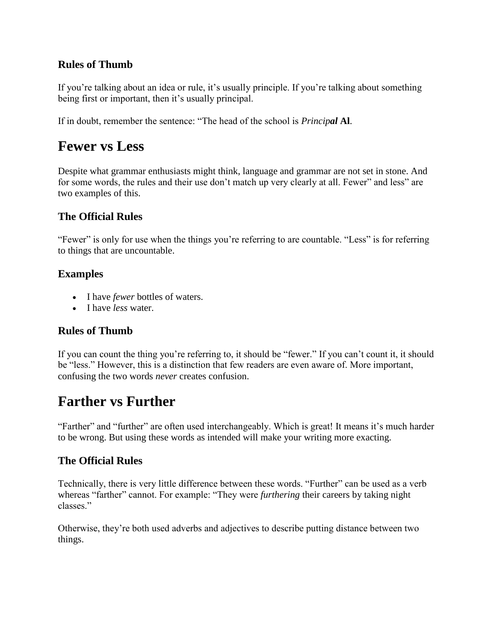#### **Rules of Thumb**

If you're talking about an idea or rule, it's usually principle. If you're talking about something being first or important, then it's usually principal.

If in doubt, remember the sentence: "The head of the school is *Principal* **Al**.

### **Fewer vs Less**

Despite what grammar enthusiasts might think, language and grammar are not set in stone. And for some words, the rules and their use don't match up very clearly at all. Fewer" and less" are two examples of this.

#### **The Official Rules**

"Fewer" is only for use when the things you're referring to are countable. "Less" is for referring to things that are uncountable.

#### **Examples**

- I have *fewer* bottles of waters.
- I have *less* water.

#### **Rules of Thumb**

If you can count the thing you're referring to, it should be "fewer." If you can't count it, it should be "less." However, this is a distinction that few readers are even aware of. More important, confusing the two words *never* creates confusion.

### **Farther vs Further**

"Farther" and "further" are often used interchangeably. Which is great! It means it's much harder to be wrong. But using these words as intended will make your writing more exacting.

#### **The Official Rules**

Technically, there is very little difference between these words. "Further" can be used as a verb whereas "farther" cannot. For example: "They were *furthering* their careers by taking night classes."

Otherwise, they're both used adverbs and adjectives to describe putting distance between two things.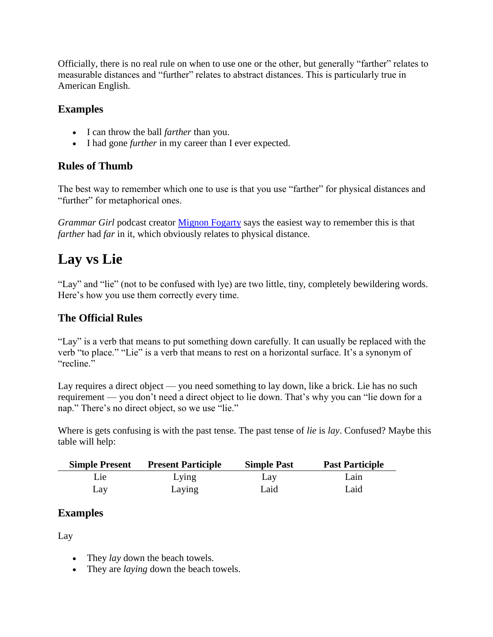Officially, there is no real rule on when to use one or the other, but generally "farther" relates to measurable distances and "further" relates to abstract distances. This is particularly true in American English.

#### **Examples**

- I can throw the ball *farther* than you.
- I had gone *further* in my career than I ever expected.

#### **Rules of Thumb**

The best way to remember which one to use is that you use "farther" for physical distances and "further" for metaphorical ones.

*Grammar Girl* podcast creator [Mignon Fogarty](http://www.quickanddirtytips.com/education/grammar/further-versus-farther) says the easiest way to remember this is that *farther* had *far* in it, which obviously relates to physical distance.

# **Lay vs Lie**

"Lay" and "lie" (not to be confused with lye) are two little, tiny, completely bewildering words. Here's how you use them correctly every time.

#### **The Official Rules**

"Lay" is a verb that means to put something down carefully. It can usually be replaced with the verb "to place." "Lie" is a verb that means to rest on a horizontal surface. It's a synonym of "recline."

Lay requires a direct object — you need something to lay down, like a brick. Lie has no such requirement — you don't need a direct object to lie down. That's why you can "lie down for a nap." There's no direct object, so we use "lie."

Where is gets confusing is with the past tense. The past tense of *lie* is *lay*. Confused? Maybe this table will help:

| <b>Simple Present</b> | <b>Present Participle</b> | <b>Simple Past</b> | <b>Past Participle</b> |
|-----------------------|---------------------------|--------------------|------------------------|
| Lie:                  | Lying                     | Lay                | Lain                   |
| Lay                   | Laying                    | Laid               | Laid                   |

#### **Examples**

Lay

- They *lay* down the beach towels.
- They are *laying* down the beach towels.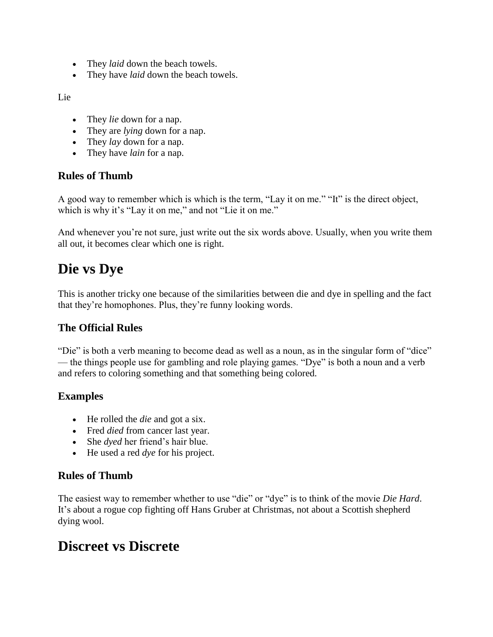- They *laid* down the beach towels.
- They have *laid* down the beach towels.

Lie

- They *lie* down for a nap.
- They are *lying* down for a nap.
- They *lay* down for a nap.
- They have *lain* for a nap.

#### **Rules of Thumb**

A good way to remember which is which is the term, "Lay it on me." "It" is the direct object, which is why it's "Lay it on me," and not "Lie it on me."

And whenever you're not sure, just write out the six words above. Usually, when you write them all out, it becomes clear which one is right.

### **Die vs Dye**

This is another tricky one because of the similarities between die and dye in spelling and the fact that they're homophones. Plus, they're funny looking words.

#### **The Official Rules**

"Die" is both a verb meaning to become dead as well as a noun, as in the singular form of "dice" — the things people use for gambling and role playing games. "Dye" is both a noun and a verb and refers to coloring something and that something being colored.

#### **Examples**

- He rolled the *die* and got a six.
- Fred *died* from cancer last year.
- She *dyed* her friend's hair blue.
- He used a red *dye* for his project.

#### **Rules of Thumb**

The easiest way to remember whether to use "die" or "dye" is to think of the movie *Die Hard*. It's about a rogue cop fighting off Hans Gruber at Christmas, not about a Scottish shepherd dying wool.

### **Discreet vs Discrete**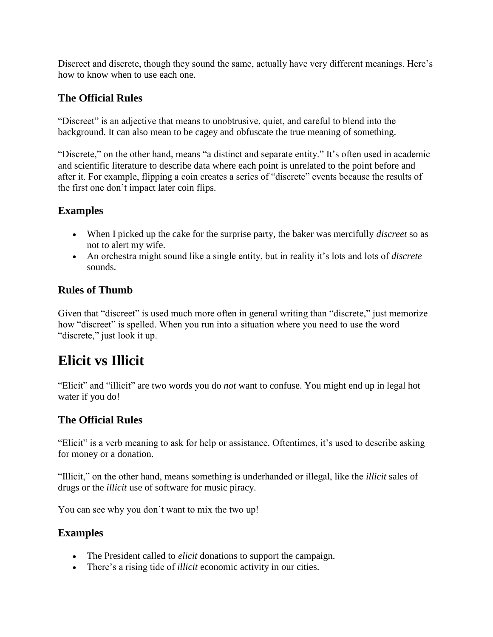Discreet and discrete, though they sound the same, actually have very different meanings. Here's how to know when to use each one.

#### **The Official Rules**

"Discreet" is an adjective that means to unobtrusive, quiet, and careful to blend into the background. It can also mean to be cagey and obfuscate the true meaning of something.

"Discrete," on the other hand, means "a distinct and separate entity." It's often used in academic and scientific literature to describe data where each point is unrelated to the point before and after it. For example, flipping a coin creates a series of "discrete" events because the results of the first one don't impact later coin flips.

#### **Examples**

- When I picked up the cake for the surprise party, the baker was mercifully *discreet* so as not to alert my wife.
- An orchestra might sound like a single entity, but in reality it's lots and lots of *discrete* sounds.

#### **Rules of Thumb**

Given that "discreet" is used much more often in general writing than "discrete," just memorize how "discreet" is spelled. When you run into a situation where you need to use the word "discrete," just look it up.

### **Elicit vs Illicit**

"Elicit" and "illicit" are two words you do *not* want to confuse. You might end up in legal hot water if you do!

#### **The Official Rules**

"Elicit" is a verb meaning to ask for help or assistance. Oftentimes, it's used to describe asking for money or a donation.

"Illicit," on the other hand, means something is underhanded or illegal, like the *illicit* sales of drugs or the *illicit* use of software for music piracy.

You can see why you don't want to mix the two up!

- The President called to *elicit* donations to support the campaign.
- There's a rising tide of *illicit* economic activity in our cities.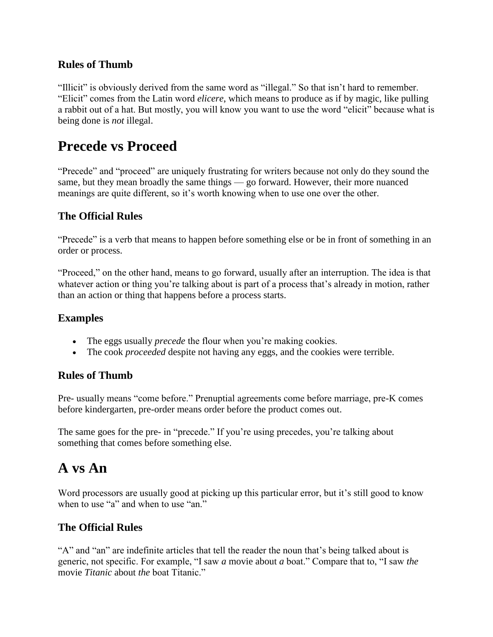#### **Rules of Thumb**

"Illicit" is obviously derived from the same word as "illegal." So that isn't hard to remember. "Elicit" comes from the Latin word *elicere*, which means to produce as if by magic, like pulling a rabbit out of a hat. But mostly, you will know you want to use the word "elicit" because what is being done is *not* illegal.

### **Precede vs Proceed**

"Precede" and "proceed" are uniquely frustrating for writers because not only do they sound the same, but they mean broadly the same things — go forward. However, their more nuanced meanings are quite different, so it's worth knowing when to use one over the other.

#### **The Official Rules**

"Precede" is a verb that means to happen before something else or be in front of something in an order or process.

"Proceed," on the other hand, means to go forward, usually after an interruption. The idea is that whatever action or thing you're talking about is part of a process that's already in motion, rather than an action or thing that happens before a process starts.

#### **Examples**

- The eggs usually *precede* the flour when you're making cookies.
- The cook *proceeded* despite not having any eggs, and the cookies were terrible.

#### **Rules of Thumb**

Pre- usually means "come before." Prenuptial agreements come before marriage, pre-K comes before kindergarten, pre-order means order before the product comes out.

The same goes for the pre- in "precede." If you're using precedes, you're talking about something that comes before something else.

### **A vs An**

Word processors are usually good at picking up this particular error, but it's still good to know when to use "a" and when to use "an."

#### **The Official Rules**

"A" and "an" are indefinite articles that tell the reader the noun that's being talked about is generic, not specific. For example, "I saw *a* movie about *a* boat." Compare that to, "I saw *the* movie *Titanic* about *the* boat Titanic."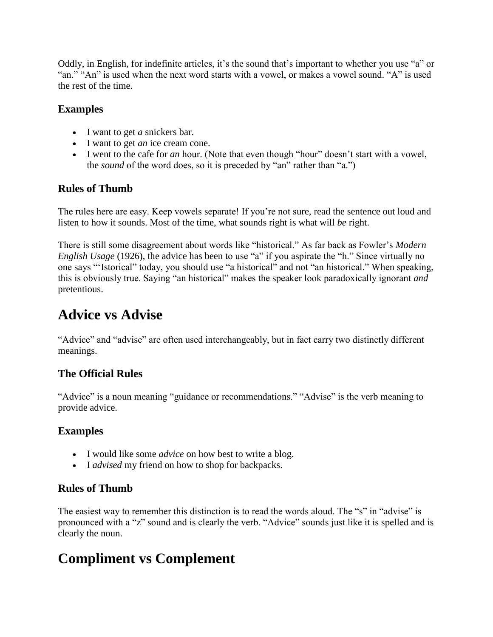Oddly, in English, for indefinite articles, it's the sound that's important to whether you use "a" or "an." "An" is used when the next word starts with a vowel, or makes a vowel sound. "A" is used the rest of the time.

#### **Examples**

- I want to get *a* snickers bar.
- I want to get *an* ice cream cone.
- I went to the cafe for *an* hour. (Note that even though "hour" doesn't start with a vowel, the *sound* of the word does, so it is preceded by "an" rather than "a.")

#### **Rules of Thumb**

The rules here are easy. Keep vowels separate! If you're not sure, read the sentence out loud and listen to how it sounds. Most of the time, what sounds right is what will *be* right.

There is still some disagreement about words like "historical." As far back as Fowler's *Modern English Usage* (1926), the advice has been to use "a" if you aspirate the "h." Since virtually no one says "'Istorical" today, you should use "a historical" and not "an historical." When speaking, this is obviously true. Saying "an historical" makes the speaker look paradoxically ignorant *and* pretentious.

### **Advice vs Advise**

"Advice" and "advise" are often used interchangeably, but in fact carry two distinctly different meanings.

#### **The Official Rules**

"Advice" is a noun meaning "guidance or recommendations." "Advise" is the verb meaning to provide advice.

#### **Examples**

- I would like some *advice* on how best to write a blog.
- I *advised* my friend on how to shop for backpacks.

#### **Rules of Thumb**

The easiest way to remember this distinction is to read the words aloud. The "s" in "advise" is pronounced with a "z" sound and is clearly the verb. "Advice" sounds just like it is spelled and is clearly the noun.

# **Compliment vs Complement**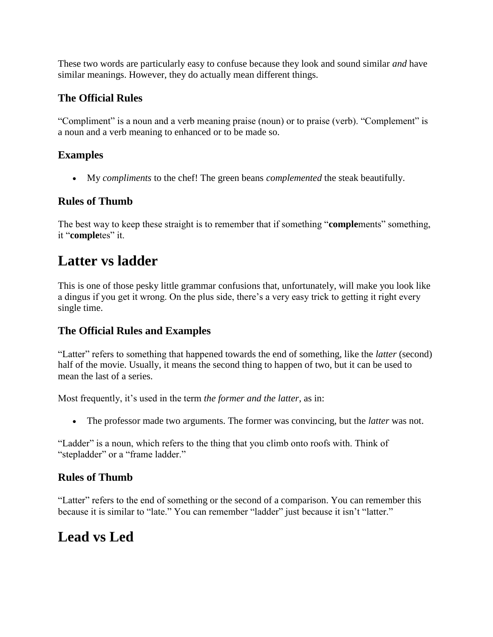These two words are particularly easy to confuse because they look and sound similar *and* have similar meanings. However, they do actually mean different things.

#### **The Official Rules**

"Compliment" is a noun and a verb meaning praise (noun) or to praise (verb). "Complement" is a noun and a verb meaning to enhanced or to be made so.

#### **Examples**

• My *compliments* to the chef! The green beans *complemented* the steak beautifully.

#### **Rules of Thumb**

The best way to keep these straight is to remember that if something "**comple**ments" something, it "**completes**" it.

### **Latter vs ladder**

This is one of those pesky little grammar confusions that, unfortunately, will make you look like a dingus if you get it wrong. On the plus side, there's a very easy trick to getting it right every single time.

#### **The Official Rules and Examples**

"Latter" refers to something that happened towards the end of something, like the *latter* (second) half of the movie. Usually, it means the second thing to happen of two, but it can be used to mean the last of a series.

Most frequently, it's used in the term *the former and the latter*, as in:

• The professor made two arguments. The former was convincing, but the *latter* was not.

"Ladder" is a noun, which refers to the thing that you climb onto roofs with. Think of "stepladder" or a "frame ladder."

#### **Rules of Thumb**

"Latter" refers to the end of something or the second of a comparison. You can remember this because it is similar to "late." You can remember "ladder" just because it isn't "latter."

### **Lead vs Led**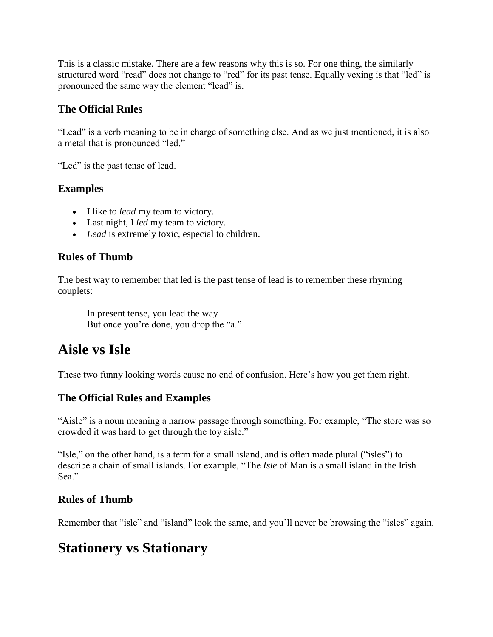This is a classic mistake. There are a few reasons why this is so. For one thing, the similarly structured word "read" does not change to "red" for its past tense. Equally vexing is that "led" is pronounced the same way the element "lead" is.

#### **The Official Rules**

"Lead" is a verb meaning to be in charge of something else. And as we just mentioned, it is also a metal that is pronounced "led."

"Led" is the past tense of lead.

#### **Examples**

- I like to *lead* my team to victory.
- Last night, I *led* my team to victory.
- *Lead* is extremely toxic, especial to children.

#### **Rules of Thumb**

The best way to remember that led is the past tense of lead is to remember these rhyming couplets:

In present tense, you lead the way But once you're done, you drop the "a."

# **Aisle vs Isle**

These two funny looking words cause no end of confusion. Here's how you get them right.

#### **The Official Rules and Examples**

"Aisle" is a noun meaning a narrow passage through something. For example, "The store was so crowded it was hard to get through the toy aisle."

"Isle," on the other hand, is a term for a small island, and is often made plural ("isles") to describe a chain of small islands. For example, "The *Isle* of Man is a small island in the Irish Sea."

#### **Rules of Thumb**

Remember that "isle" and "island" look the same, and you'll never be browsing the "isles" again.

### **Stationery vs Stationary**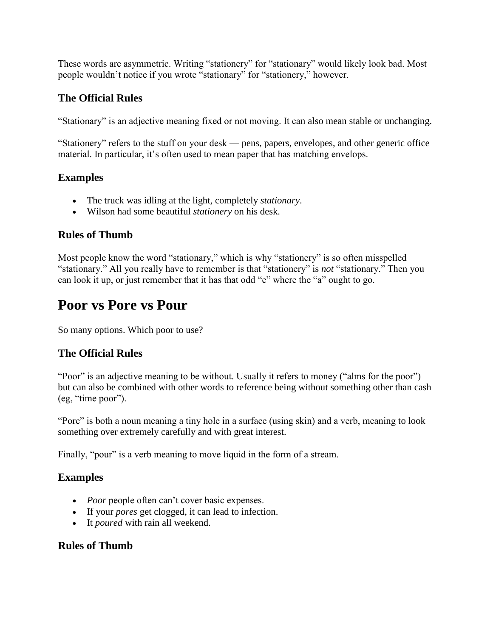These words are asymmetric. Writing "stationery" for "stationary" would likely look bad. Most people wouldn't notice if you wrote "stationary" for "stationery," however.

#### **The Official Rules**

"Stationary" is an adjective meaning fixed or not moving. It can also mean stable or unchanging.

"Stationery" refers to the stuff on your desk — pens, papers, envelopes, and other generic office material. In particular, it's often used to mean paper that has matching envelops.

#### **Examples**

- The truck was idling at the light, completely *stationary*.
- Wilson had some beautiful *stationery* on his desk.

#### **Rules of Thumb**

Most people know the word "stationary," which is why "stationery" is so often misspelled "stationary." All you really have to remember is that "stationery" is *not* "stationary." Then you can look it up, or just remember that it has that odd "e" where the "a" ought to go.

### **Poor vs Pore vs Pour**

So many options. Which poor to use?

#### **The Official Rules**

"Poor" is an adjective meaning to be without. Usually it refers to money ("alms for the poor") but can also be combined with other words to reference being without something other than cash (eg, "time poor").

"Pore" is both a noun meaning a tiny hole in a surface (using skin) and a verb, meaning to look something over extremely carefully and with great interest.

Finally, "pour" is a verb meaning to move liquid in the form of a stream.

#### **Examples**

- *Poor* people often can't cover basic expenses.
- If your *pores* get clogged, it can lead to infection.
- It *poured* with rain all weekend.

#### **Rules of Thumb**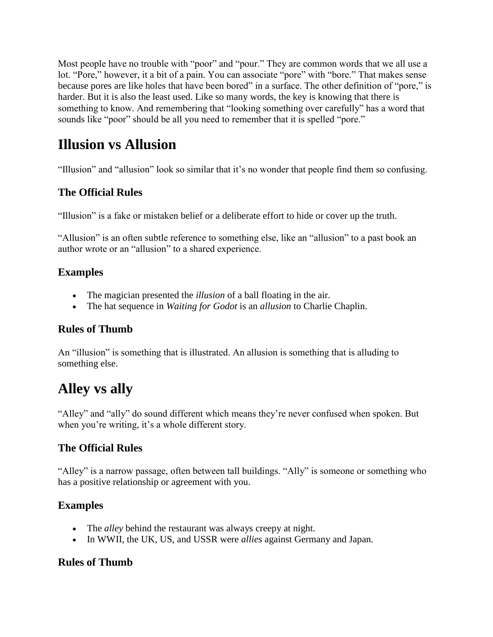Most people have no trouble with "poor" and "pour." They are common words that we all use a lot. "Pore," however, it a bit of a pain. You can associate "pore" with "bore." That makes sense because pores are like holes that have been bored" in a surface. The other definition of "pore," is harder. But it is also the least used. Like so many words, the key is knowing that there is something to know. And remembering that "looking something over carefully" has a word that sounds like "poor" should be all you need to remember that it is spelled "pore."

### **Illusion vs Allusion**

"Illusion" and "allusion" look so similar that it's no wonder that people find them so confusing.

#### **The Official Rules**

"Illusion" is a fake or mistaken belief or a deliberate effort to hide or cover up the truth.

"Allusion" is an often subtle reference to something else, like an "allusion" to a past book an author wrote or an "allusion" to a shared experience.

#### **Examples**

- The magician presented the *illusion* of a ball floating in the air.
- The hat sequence in *Waiting for Godot* is an *allusion* to Charlie Chaplin.

#### **Rules of Thumb**

An "illusion" is something that is illustrated. An allusion is something that is alluding to something else.

# **Alley vs ally**

"Alley" and "ally" do sound different which means they're never confused when spoken. But when you're writing, it's a whole different story.

#### **The Official Rules**

"Alley" is a narrow passage, often between tall buildings. "Ally" is someone or something who has a positive relationship or agreement with you.

#### **Examples**

- The *alley* behind the restaurant was always creepy at night.
- In WWII, the UK, US, and USSR were *allies* against Germany and Japan.

#### **Rules of Thumb**